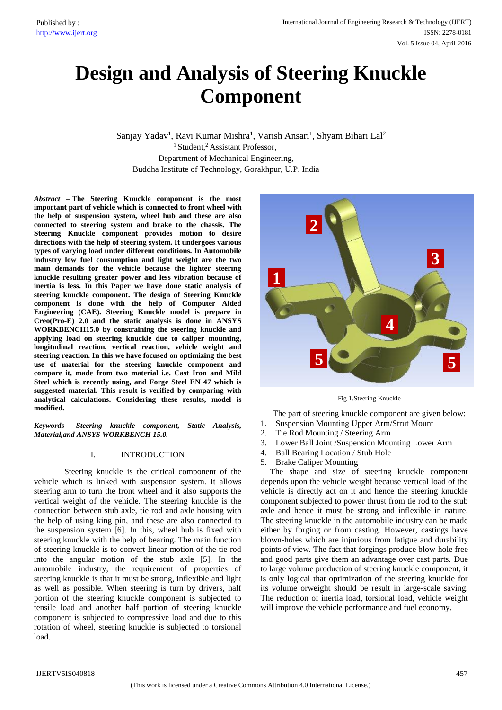# **Design and Analysis of Steering Knuckle Component**

Sanjay Yadav<sup>1</sup>, Ravi Kumar Mishra<sup>1</sup>, Varish Ansari<sup>1</sup>, Shyam Bihari Lal<sup>2</sup> <sup>1</sup> Student,<sup>2</sup> Assistant Professor, Department of Mechanical Engineering, Buddha Institute of Technology, Gorakhpur, U.P. India

*Abstract –* **The Steering Knuckle component is the most important part of vehicle which is connected to front wheel with the help of suspension system, wheel hub and these are also connected to steering system and brake to the chassis. The Steering Knuckle component provides motion to desire directions with the help of steering system. It undergoes various types of varying load under different conditions. In Automobile industry low fuel consumption and light weight are the two main demands for the vehicle because the lighter steering knuckle resulting greater power and less vibration because of inertia is less. In this Paper we have done static analysis of steering knuckle component. The design of Steering Knuckle component is done with the help of Computer Aided Engineering (CAE). Steering Knuckle model is prepare in Creo(Pro-E) 2.0 and the static analysis is done in ANSYS WORKBENCH15.0 by constraining the steering knuckle and applying load on steering knuckle due to caliper mounting, longitudinal reaction, vertical reaction, vehicle weight and steering reaction. In this we have focused on optimizing the best use of material for the steering knuckle component and compare it, made from two material i.e. Cast Iron and Mild Steel which is recently using, and Forge Steel EN 47 which is suggested material. This result is verified by comparing with analytical calculations. Considering these results, model is modified.**

*Keywords* **–***Steering knuckle component, Static Analysis, Material,and ANSYS WORKBENCH 15.0.*

# I. INTRODUCTION

Steering knuckle is the critical component of the vehicle which is linked with suspension system. It allows steering arm to turn the front wheel and it also supports the vertical weight of the vehicle. The steering knuckle is the connection between stub axle, tie rod and axle housing with the help of using king pin, and these are also connected to the suspension system [6]. In this, wheel hub is fixed with steering knuckle with the help of bearing. The main function of steering knuckle is to convert linear motion of the tie rod into the angular motion of the stub axle [5]. In the automobile industry, the requirement of properties of steering knuckle is that it must be strong, inflexible and light as well as possible. When steering is turn by drivers, half portion of the steering knuckle component is subjected to tensile load and another half portion of steering knuckle component is subjected to compressive load and due to this rotation of wheel, steering knuckle is subjected to torsional load.



Fig 1.Steering Knuckle

The part of steering knuckle component are given below: 1. Suspension Mounting Upper Arm/Strut Mount

- 2. Tie Rod Mounting / Steering Arm
- 3. Lower Ball Joint /Suspension Mounting Lower Arm
- 4. Ball Bearing Location / Stub Hole
- 5. Brake Caliper Mounting

The shape and size of steering knuckle component depends upon the vehicle weight because vertical load of the vehicle is directly act on it and hence the steering knuckle component subjected to power thrust from tie rod to the stub axle and hence it must be strong and inflexible in nature. The steering knuckle in the automobile industry can be made either by forging or from casting. However, castings have blown-holes which are injurious from fatigue and durability points of view. The fact that forgings produce blow-hole free and good parts give them an advantage over cast parts. Due to large volume production of steering knuckle component, it is only logical that optimization of the steering knuckle for its volume orweight should be result in large-scale saving. The reduction of inertia load, torsional load, vehicle weight will improve the vehicle performance and fuel economy.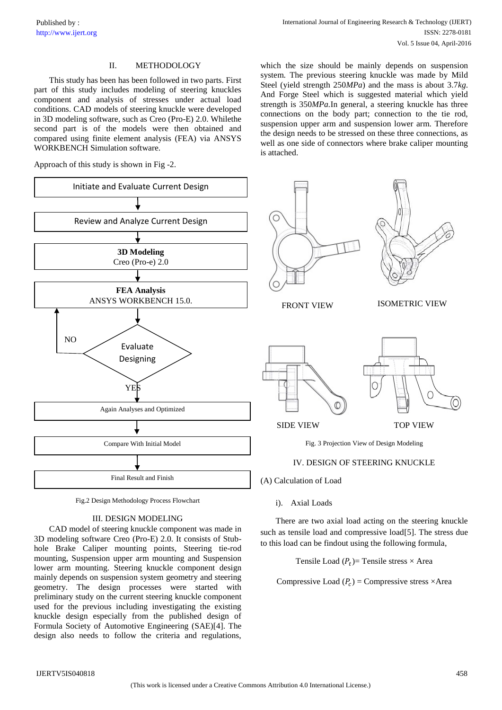# II. METHODOLOGY

This study has been has been followed in two parts. First part of this study includes modeling of steering knuckles component and analysis of stresses under actual load conditions. CAD models of steering knuckle were developed in 3D modeling software, such as Creo (Pro-E) 2.0. Whilethe second part is of the models were then obtained and compared using finite element analysis (FEA) via ANSYS WORKBENCH Simulation software.

Approach of this study is shown in Fig -2.



Fig.2 Design Methodology Process Flowchart

#### III. DESIGN MODELING

CAD model of steering knuckle component was made in 3D modeling software Creo (Pro-E) 2.0. It consists of Stubhole Brake Caliper mounting points, Steering tie-rod mounting, Suspension upper arm mounting and Suspension lower arm mounting. Steering knuckle component design mainly depends on suspension system geometry and steering geometry. The design processes were started with preliminary study on the current steering knuckle component used for the previous including investigating the existing knuckle design especially from the published design of Formula Society of Automotive Engineering (SAE)[4]. The design also needs to follow the criteria and regulations,

which the size should be mainly depends on suspension system. The previous steering knuckle was made by Mild Steel (yield strength 250*MPa*) and the mass is about 3.7*kg*. And Forge Steel which is suggested material which yield strength is 350*MPa.*In general, a steering knuckle has three connections on the body part; connection to the tie rod, suspension upper arm and suspension lower arm. Therefore the design needs to be stressed on these three connections, as well as one side of connectors where brake caliper mounting is attached.



## IV. DESIGN OF STEERING KNUCKLE

(A) Calculation of Load

i). Axial Loads

There are two axial load acting on the steering knuckle such as tensile load and compressive load[5]. The stress due to this load can be findout using the following formula,

Tensile Load  $(P_t)$ = Tensile stress  $\times$  Area

Compressive Load  $(P_c)$  = Compressive stress  $\times$ Area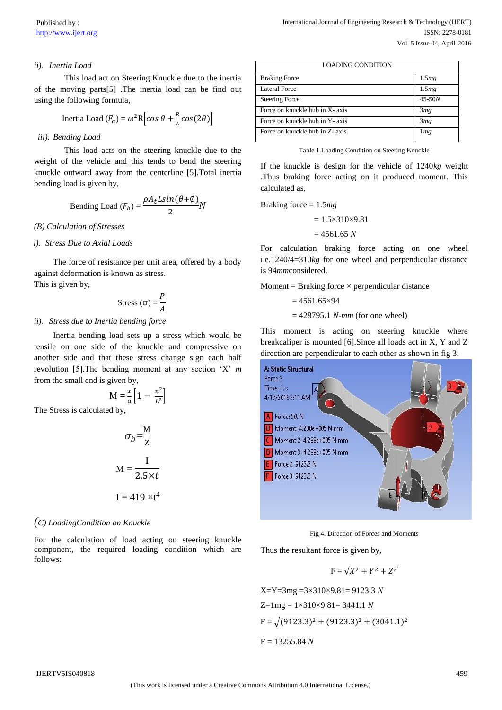# *ii). Inertia Load*

This load act on Steering Knuckle due to the inertia of the moving parts[5] .The inertia load can be find out using the following formula,

Inertia Load 
$$
(F_a) = \omega^2 R \left[ \cos \theta + \frac{R}{L} \cos(2\theta) \right]
$$

#### *iii). Bending Load*

This load acts on the steering knuckle due to the weight of the vehicle and this tends to bend the steering knuckle outward away from the centerline [5].Total inertia bending load is given by,

Bending Load 
$$
(F_b) = \frac{\rho A_t L sin(\theta + \phi)}{2} N
$$

#### *(B) Calculation of Stresses*

#### *i). Stress Due to Axial Loads*

The force of resistance per unit area, offered by a body against deformation is known as stress. This is given by,

$$
Stress (\sigma) = \frac{P}{A}
$$

## *ii). Stress due to Inertia bending force*

Inertia bending load sets up a stress which would be tensile on one side of the knuckle and compressive on another side and that these stress change sign each half revolution [5].The bending moment at any section 'X' *m*  from the small end is given by,

$$
M = \frac{x}{a} \left[ 1 - \frac{x^2}{L^2} \right]
$$

The Stress is calculated by,

$$
\sigma_b = \frac{M}{Z}
$$

$$
M = \frac{I}{2.5 \times t}
$$

$$
I = 419 \times t^4
$$

### *(C) LoadingCondition on Knuckle*

For the calculation of load acting on steering knuckle component, the required loading condition which are follows:

| <b>LOADING CONDITION</b>        |          |  |
|---------------------------------|----------|--|
| <b>Braking Force</b>            | 1.5mg    |  |
| <b>Lateral Force</b>            | 1.5mg    |  |
| <b>Steering Force</b>           | $45-50N$ |  |
| Force on knuckle hub in X- axis | 3mg      |  |
| Force on knuckle hub in Y- axis | 3mg      |  |
| Force on knuckle hub in Z- axis | 1mg      |  |

Table 1.Loading Condition on Steering Knuckle

If the knuckle is design for the vehicle of 1240*kg* weight .Thus braking force acting on it produced moment. This calculated as,

Braking force = 1.5*mg*

 $= 1.5 \times 310 \times 9.81$  $= 4561.65 N$ 

For calculation braking force acting on one wheel i.e.1240/4=310*kg* for one wheel and perpendicular distance is 94*mm*considered.

Moment = Braking force  $\times$  perpendicular distance

$$
=4561.65\times94
$$

= 428795.1 *N-mm* (for one wheel)

This moment is acting on steering knuckle where breakcaliper is mounted [6].Since all loads act in X, Y and Z direction are perpendicular to each other as shown in fig 3.



Fig 4. Direction of Forces and Moments

Thus the resultant force is given by,

$$
F = \sqrt{X^2 + Y^2 + Z^2}
$$

X=Y=3mg = 3×310×9.81= 9123.3 *N*  
Z=1mg = 1×310×9.81= 3441.1 *N*  
F = 
$$
\sqrt{(9123.3)^2 + (9123.3)^2 + (3041.1)^2}
$$
  
F = 13255.84 *N*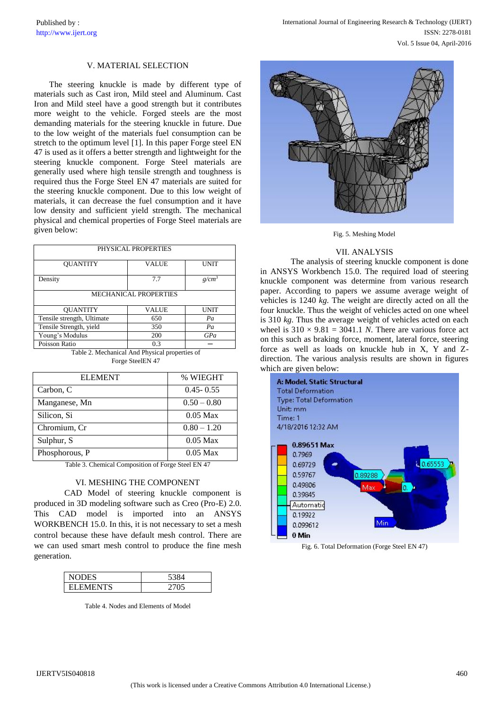#### V. MATERIAL SELECTION

The steering knuckle is made by different type of materials such as Cast iron, Mild steel and Aluminum. Cast Iron and Mild steel have a good strength but it contributes more weight to the vehicle. Forged steels are the most demanding materials for the steering knuckle in future. Due to the low weight of the materials fuel consumption can be stretch to the optimum level [1]. In this paper Forge steel EN 47 is used as it offers a better strength and lightweight for the steering knuckle component. Forge Steel materials are generally used where high tensile strength and toughness is required thus the Forge Steel EN 47 materials are suited for the steering knuckle component. Due to this low weight of materials, it can decrease the fuel consumption and it have low density and sufficient yield strength. The mechanical physical and chemical properties of Forge Steel materials are given below:

| PHYSICAL PROPERTIES          |              |                   |  |  |
|------------------------------|--------------|-------------------|--|--|
| <b>OUANTITY</b>              | <b>VALUE</b> | UNIT              |  |  |
| Density                      | 7.7          | g/cm <sup>3</sup> |  |  |
| <b>MECHANICAL PROPERTIES</b> |              |                   |  |  |
| <b>OUANTITY</b>              | <b>VALUE</b> | <b>UNIT</b>       |  |  |
| Tensile strength, Ultimate   | 650          | Pa                |  |  |
| Tensile Strength, yield      | 350          | Pa                |  |  |
| Young's Modulus              | 200          | GPa               |  |  |
| Poisson Ratio                | 0.3          |                   |  |  |

Table 2. Mechanical And Physical properties of Forge SteelEN 47

| <b>ELEMENT</b> | % WIEGHT      |
|----------------|---------------|
| Carbon, C      | $0.45 - 0.55$ |
| Manganese, Mn  | $0.50 - 0.80$ |
| Silicon, Si    | $0.05$ Max    |
| Chromium, Cr   | $0.80 - 1.20$ |
| Sulphur, S     | $0.05$ Max    |
| Phosphorous, P | $0.05$ Max    |

Table 3. Chemical Composition of Forge Steel EN 47

#### VI. MESHING THE COMPONENT

CAD Model of steering knuckle component is produced in 3D modeling software such as Creo (Pro-E) 2.0. This CAD model is imported into an ANSYS WORKBENCH 15.0. In this, it is not necessary to set a mesh control because these have default mesh control. There are we can used smart mesh control to produce the fine mesh generation.

| <b>NODES</b>    |  |
|-----------------|--|
| <b>ELEMENTS</b> |  |

Table 4. Nodes and Elements of Model





#### VII. ANALYSIS

The analysis of steering knuckle component is done in ANSYS Workbench 15.0. The required load of steering knuckle component was determine from various research paper. According to papers we assume average weight of vehicles is 1240 *kg.* The weight are directly acted on all the four knuckle. Thus the weight of vehicles acted on one wheel is 310 *kg*. Thus the average weight of vehicles acted on each wheel is  $310 \times 9.81 = 3041.1$  *N*. There are various force act on this such as braking force, moment, lateral force, steering force as well as loads on knuckle hub in X, Y and Zdirection. The various analysis results are shown in figures which are given below:



Fig. 6. Total Deformation (Forge Steel EN 47)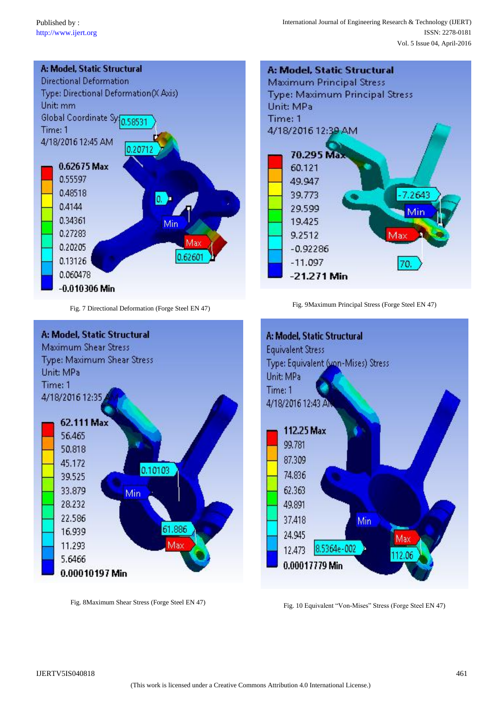

Fig. 7 Directional Deformation (Forge Steel EN 47)



Fig. 9Maximum Principal Stress (Forge Steel EN 47)





Fig. 8Maximum Shear Stress (Forge Steel EN 47)

Fig. 10 Equivalent "Von-Mises" Stress (Forge Steel EN 47)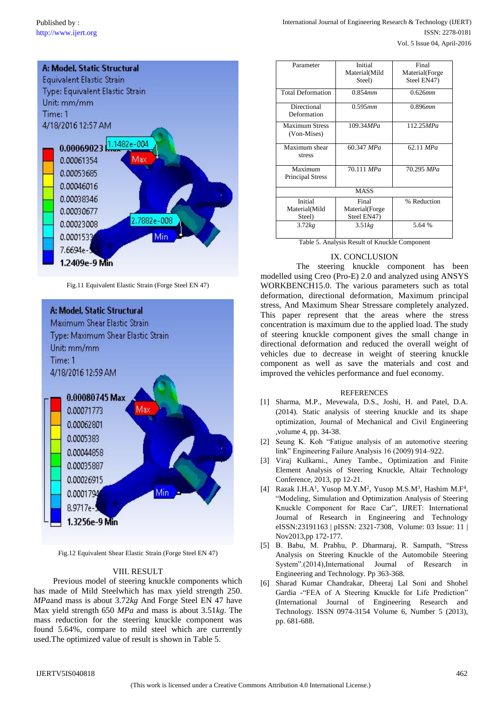

Fig.11 Equivalent Elastic Strain (Forge Steel EN 47)



Fig.12 Equivalent Shear Elastic Strain (Forge Steel EN 47)

## VIII. RESULT

Previous model of steering knuckle components which has made of Mild Steelwhich has max yield strength 250. *MPa*and mass is about 3.72*kg* And Forge Steel EN 47 have Max yield strength 650 *MPa* and mass is about 3.51*kg*. The mass reduction for the steering knuckle component was found 5.64%, compare to mild steel which are currently used.The optimized value of result is shown in Table 5.

| Parameter                | Initial        | Final          |  |  |
|--------------------------|----------------|----------------|--|--|
|                          | Material(Mild  | Material(Forge |  |  |
|                          | Steel)         | Steel EN47)    |  |  |
|                          |                |                |  |  |
| <b>Total Deformation</b> | 0.854mm        | 0.626mm        |  |  |
| Directional              | 0.595mm        | 0.896mm        |  |  |
| Deformation              |                |                |  |  |
|                          |                |                |  |  |
| <b>Maximum Stress</b>    | 109.34 MPa     | 112.25 MPa     |  |  |
| (Von-Mises)              |                |                |  |  |
|                          |                |                |  |  |
| Maximum shear            | 60.347 MPa     | 62.11 MPa      |  |  |
| stress                   |                |                |  |  |
|                          |                |                |  |  |
| Maximum                  | 70.111 MPa     | 70.295 MPa     |  |  |
| <b>Principal Stress</b>  |                |                |  |  |
|                          |                |                |  |  |
| <b>MASS</b>              |                |                |  |  |
| Initial                  | Final          | % Reduction    |  |  |
| Material(Mild            | Material(Forge |                |  |  |
| Steel)                   | Steel EN47)    |                |  |  |
| 3.72kg                   | 3.51kg         | 5.64 %         |  |  |
|                          |                |                |  |  |
|                          |                |                |  |  |

Table 5. Analysis Result of Knuckle Component

# IX. CONCLUSION

The steering knuckle component has been modelled using Creo (Pro-E) 2.0 and analyzed using ANSYS WORKBENCH15.0. The various parameters such as total deformation, directional deformation, Maximum principal stress, And Maximum Shear Stressare completely analyzed. This paper represent that the areas where the stress concentration is maximum due to the applied load. The study of steering knuckle component gives the small change in directional deformation and reduced the overall weight of vehicles due to decrease in weight of steering knuckle component as well as save the materials and cost and improved the vehicles performance and fuel economy.

#### REFERENCES

- [1] Sharma, M.P., Mevewala, D.S., Joshi, H. and Patel, D.A. (2014). Static analysis of steering knuckle and its shape optimization, Journal of Mechanical and Civil Engineering ,volume 4, pp. 34-38.
- [2] Seung K. Koh "Fatigue analysis of an automotive steering link" Engineering Failure Analysis 16 (2009) 914–922.
- [3] Viraj Kulkarni., Amey Tambe., Optimization and Finite Element Analysis of Steering Knuckle, Altair Technology Conference, 2013, pp 12-21.
- [4] Razak I.H.A<sup>1</sup>, Yusop M.Y.M<sup>2</sup>, Yusop M.S.M<sup>3</sup>, Hashim M.F<sup>4</sup>, "Modeling, Simulation and Optimization Analysis of Steering Knuckle Component for Race Car", IJRET: International Journal of Research in Engineering and Technology eISSN:23191163 | pISSN: 2321-7308, Volume: 03 Issue: 11 | Nov2013,pp 172-177.
- [5] B. Babu, M. Prabhu, P. Dharmaraj, R. Sampath, "Stress Analysis on Steering Knuckle of the Automobile Steering System".(2014),International Journal of Research in Engineering and Technology. Pp 363-368.
- [6] Sharad Kumar Chandrakar, Dheeraj Lal Soni and Shohel Gardia -"FEA of A Steering Knuckle for Life Prediction" (International Journal of Engineering Research and Technology. ISSN 0974-3154 Volume 6, Number 5 (2013), pp. 681-688.